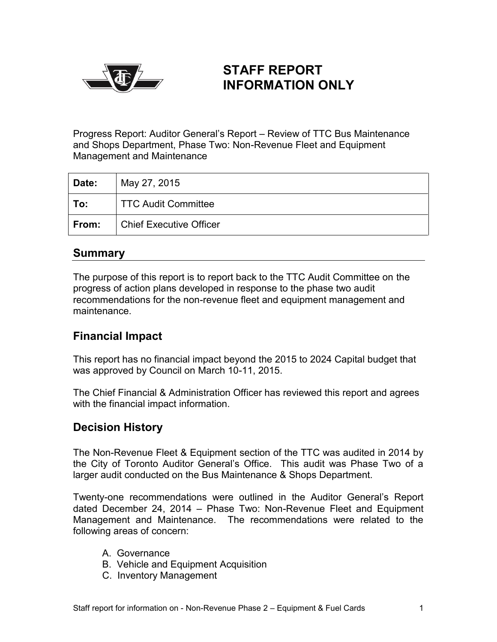

# **STAFF REPORT INFORMATION ONLY**

Progress Report: Auditor General's Report – Review of TTC Bus Maintenance and Shops Department, Phase Two: Non-Revenue Fleet and Equipment Management and Maintenance

| Date: | May 27, 2015                   |
|-------|--------------------------------|
| To:   | <b>TTC Audit Committee</b>     |
| From: | <b>Chief Executive Officer</b> |

# **Summary**

The purpose of this report is to report back to the TTC Audit Committee on the progress of action plans developed in response to the phase two audit recommendations for the non-revenue fleet and equipment management and maintenance.

# **Financial Impact**

This report has no financial impact beyond the 2015 to 2024 Capital budget that was approved by Council on March 10-11, 2015.

The Chief Financial & Administration Officer has reviewed this report and agrees with the financial impact information.

# **Decision History**

The Non-Revenue Fleet & Equipment section of the TTC was audited in 2014 by the City of Toronto Auditor General's Office. This audit was Phase Two of a larger audit conducted on the Bus Maintenance & Shops Department.

Twenty-one recommendations were outlined in the Auditor General's Report dated December 24, 2014 – Phase Two: Non-Revenue Fleet and Equipment Management and Maintenance. The recommendations were related to the following areas of concern:

- A. Governance
- B. Vehicle and Equipment Acquisition
- C. Inventory Management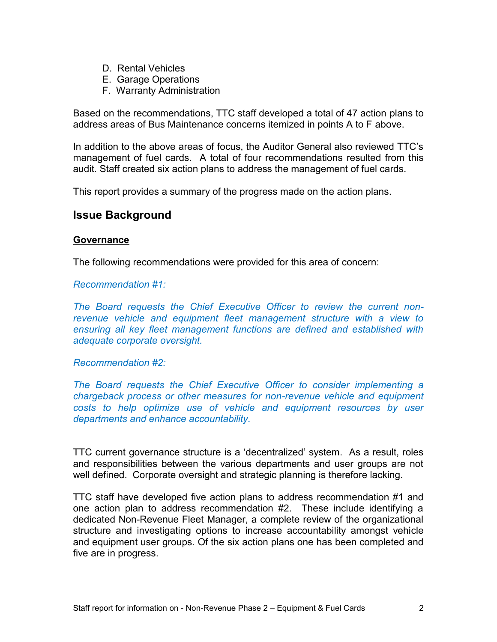- D. Rental Vehicles
- E. Garage Operations
- F. Warranty Administration

Based on the recommendations, TTC staff developed a total of 47 action plans to address areas of Bus Maintenance concerns itemized in points A to F above.

In addition to the above areas of focus, the Auditor General also reviewed TTC's management of fuel cards. A total of four recommendations resulted from this audit. Staff created six action plans to address the management of fuel cards.

This report provides a summary of the progress made on the action plans.

# **Issue Background**

### **Governance**

The following recommendations were provided for this area of concern:

### *Recommendation #1:*

*The Board requests the Chief Executive Officer to review the current nonrevenue vehicle and equipment fleet management structure with a view to ensuring all key fleet management functions are defined and established with adequate corporate oversight.*

### *Recommendation #2:*

*The Board requests the Chief Executive Officer to consider implementing a chargeback process or other measures for non-revenue vehicle and equipment costs to help optimize use of vehicle and equipment resources by user departments and enhance accountability.*

TTC current governance structure is a 'decentralized' system. As a result, roles and responsibilities between the various departments and user groups are not well defined. Corporate oversight and strategic planning is therefore lacking.

TTC staff have developed five action plans to address recommendation #1 and one action plan to address recommendation #2. These include identifying a dedicated Non-Revenue Fleet Manager, a complete review of the organizational structure and investigating options to increase accountability amongst vehicle and equipment user groups. Of the six action plans one has been completed and five are in progress.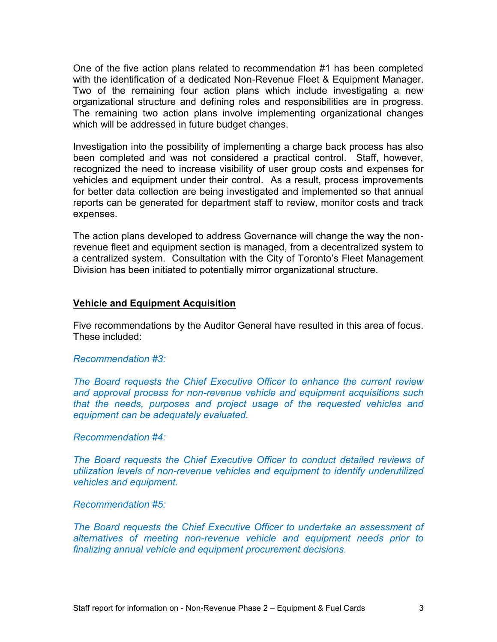One of the five action plans related to recommendation #1 has been completed with the identification of a dedicated Non-Revenue Fleet & Equipment Manager. Two of the remaining four action plans which include investigating a new organizational structure and defining roles and responsibilities are in progress. The remaining two action plans involve implementing organizational changes which will be addressed in future budget changes.

Investigation into the possibility of implementing a charge back process has also been completed and was not considered a practical control. Staff, however, recognized the need to increase visibility of user group costs and expenses for vehicles and equipment under their control. As a result, process improvements for better data collection are being investigated and implemented so that annual reports can be generated for department staff to review, monitor costs and track expenses.

The action plans developed to address Governance will change the way the nonrevenue fleet and equipment section is managed, from a decentralized system to a centralized system. Consultation with the City of Toronto's Fleet Management Division has been initiated to potentially mirror organizational structure.

### **Vehicle and Equipment Acquisition**

Five recommendations by the Auditor General have resulted in this area of focus. These included:

### *Recommendation #3:*

*The Board requests the Chief Executive Officer to enhance the current review and approval process for non-revenue vehicle and equipment acquisitions such that the needs, purposes and project usage of the requested vehicles and equipment can be adequately evaluated.*

#### *Recommendation #4:*

*The Board requests the Chief Executive Officer to conduct detailed reviews of utilization levels of non-revenue vehicles and equipment to identify underutilized vehicles and equipment.*

#### *Recommendation #5:*

*The Board requests the Chief Executive Officer to undertake an assessment of alternatives of meeting non-revenue vehicle and equipment needs prior to finalizing annual vehicle and equipment procurement decisions.*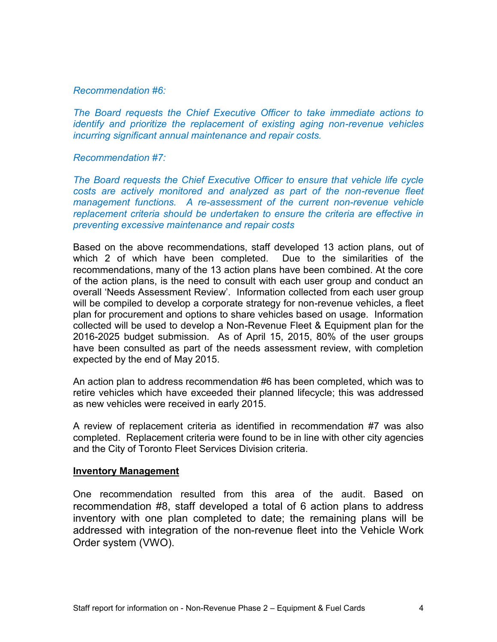### *Recommendation #6:*

*The Board requests the Chief Executive Officer to take immediate actions to identify and prioritize the replacement of existing aging non-revenue vehicles incurring significant annual maintenance and repair costs.*

#### *Recommendation #7:*

*The Board requests the Chief Executive Officer to ensure that vehicle life cycle costs are actively monitored and analyzed as part of the non-revenue fleet management functions. A re-assessment of the current non-revenue vehicle replacement criteria should be undertaken to ensure the criteria are effective in preventing excessive maintenance and repair costs*

Based on the above recommendations, staff developed 13 action plans, out of which 2 of which have been completed. Due to the similarities of the recommendations, many of the 13 action plans have been combined. At the core of the action plans, is the need to consult with each user group and conduct an overall 'Needs Assessment Review'. Information collected from each user group will be compiled to develop a corporate strategy for non-revenue vehicles, a fleet plan for procurement and options to share vehicles based on usage. Information collected will be used to develop a Non-Revenue Fleet & Equipment plan for the 2016-2025 budget submission. As of April 15, 2015, 80% of the user groups have been consulted as part of the needs assessment review, with completion expected by the end of May 2015.

An action plan to address recommendation #6 has been completed, which was to retire vehicles which have exceeded their planned lifecycle; this was addressed as new vehicles were received in early 2015.

A review of replacement criteria as identified in recommendation #7 was also completed. Replacement criteria were found to be in line with other city agencies and the City of Toronto Fleet Services Division criteria.

#### **Inventory Management**

One recommendation resulted from this area of the audit. Based on recommendation #8, staff developed a total of 6 action plans to address inventory with one plan completed to date; the remaining plans will be addressed with integration of the non-revenue fleet into the Vehicle Work Order system (VWO).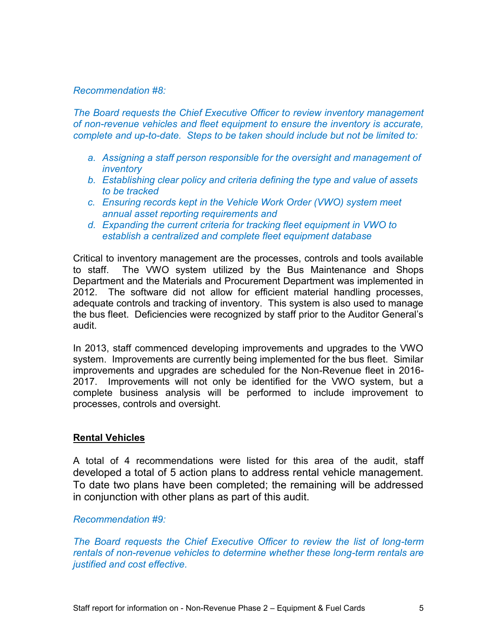### *Recommendation #8:*

*The Board requests the Chief Executive Officer to review inventory management of non-revenue vehicles and fleet equipment to ensure the inventory is accurate, complete and up-to-date. Steps to be taken should include but not be limited to:*

- *a. Assigning a staff person responsible for the oversight and management of inventory*
- *b. Establishing clear policy and criteria defining the type and value of assets to be tracked*
- *c. Ensuring records kept in the Vehicle Work Order (VWO) system meet annual asset reporting requirements and*
- *d. Expanding the current criteria for tracking fleet equipment in VWO to establish a centralized and complete fleet equipment database*

Critical to inventory management are the processes, controls and tools available to staff. The VWO system utilized by the Bus Maintenance and Shops Department and the Materials and Procurement Department was implemented in 2012. The software did not allow for efficient material handling processes, adequate controls and tracking of inventory. This system is also used to manage the bus fleet. Deficiencies were recognized by staff prior to the Auditor General's audit.

In 2013, staff commenced developing improvements and upgrades to the VWO system. Improvements are currently being implemented for the bus fleet. Similar improvements and upgrades are scheduled for the Non-Revenue fleet in 2016- 2017. Improvements will not only be identified for the VWO system, but a complete business analysis will be performed to include improvement to processes, controls and oversight.

## **Rental Vehicles**

A total of 4 recommendations were listed for this area of the audit, staff developed a total of 5 action plans to address rental vehicle management. To date two plans have been completed; the remaining will be addressed in conjunction with other plans as part of this audit.

### *Recommendation #9:*

*The Board requests the Chief Executive Officer to review the list of long-term rentals of non-revenue vehicles to determine whether these long-term rentals are justified and cost effective.*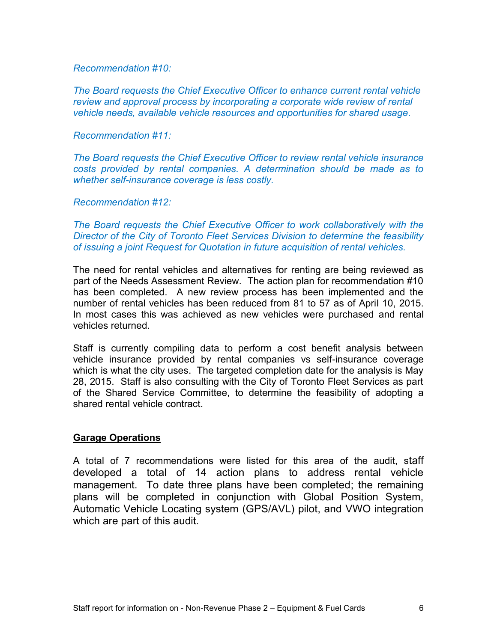### *Recommendation #10:*

*The Board requests the Chief Executive Officer to enhance current rental vehicle review and approval process by incorporating a corporate wide review of rental vehicle needs, available vehicle resources and opportunities for shared usage.*

#### *Recommendation #11:*

*The Board requests the Chief Executive Officer to review rental vehicle insurance costs provided by rental companies. A determination should be made as to whether self-insurance coverage is less costly.*

*Recommendation #12:* 

*The Board requests the Chief Executive Officer to work collaboratively with the Director of the City of Toronto Fleet Services Division to determine the feasibility of issuing a joint Request for Quotation in future acquisition of rental vehicles.*

The need for rental vehicles and alternatives for renting are being reviewed as part of the Needs Assessment Review. The action plan for recommendation #10 has been completed. A new review process has been implemented and the number of rental vehicles has been reduced from 81 to 57 as of April 10, 2015. In most cases this was achieved as new vehicles were purchased and rental vehicles returned.

Staff is currently compiling data to perform a cost benefit analysis between vehicle insurance provided by rental companies vs self-insurance coverage which is what the city uses. The targeted completion date for the analysis is May 28, 2015. Staff is also consulting with the City of Toronto Fleet Services as part of the Shared Service Committee, to determine the feasibility of adopting a shared rental vehicle contract.

### **Garage Operations**

A total of 7 recommendations were listed for this area of the audit, staff developed a total of 14 action plans to address rental vehicle management. To date three plans have been completed; the remaining plans will be completed in conjunction with Global Position System, Automatic Vehicle Locating system (GPS/AVL) pilot, and VWO integration which are part of this audit.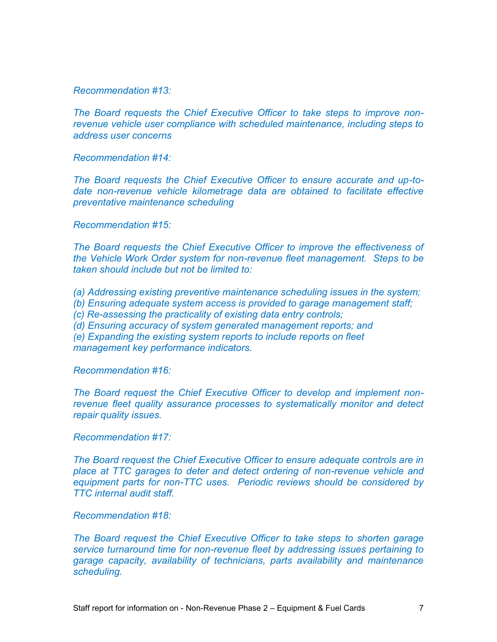*Recommendation #13:*

*The Board requests the Chief Executive Officer to take steps to improve nonrevenue vehicle user compliance with scheduled maintenance, including steps to address user concerns*

*Recommendation #14:*

*The Board requests the Chief Executive Officer to ensure accurate and up-todate non-revenue vehicle kilometrage data are obtained to facilitate effective preventative maintenance scheduling*

*Recommendation #15:*

*The Board requests the Chief Executive Officer to improve the effectiveness of the Vehicle Work Order system for non-revenue fleet management. Steps to be taken should include but not be limited to:* 

*(a) Addressing existing preventive maintenance scheduling issues in the system;* 

*(b) Ensuring adequate system access is provided to garage management staff;*

*(c) Re-assessing the practicality of existing data entry controls;* 

*(d) Ensuring accuracy of system generated management reports; and*

*(e) Expanding the existing system reports to include reports on fleet management key performance indicators.*

*Recommendation #16:*

*The Board request the Chief Executive Officer to develop and implement nonrevenue fleet quality assurance processes to systematically monitor and detect repair quality issues.*

#### *Recommendation #17:*

*The Board request the Chief Executive Officer to ensure adequate controls are in place at TTC garages to deter and detect ordering of non-revenue vehicle and equipment parts for non-TTC uses. Periodic reviews should be considered by TTC internal audit staff.*

*Recommendation #18:*

*The Board request the Chief Executive Officer to take steps to shorten garage service turnaround time for non-revenue fleet by addressing issues pertaining to garage capacity, availability of technicians, parts availability and maintenance scheduling.*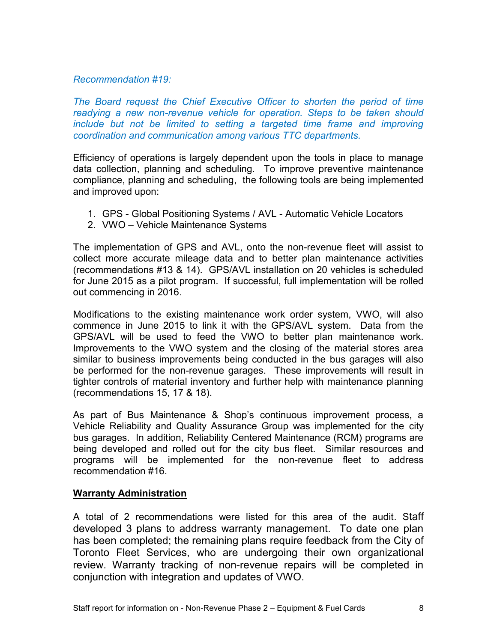## *Recommendation #19:*

*The Board request the Chief Executive Officer to shorten the period of time readying a new non-revenue vehicle for operation. Steps to be taken should include but not be limited to setting a targeted time frame and improving coordination and communication among various TTC departments.*

Efficiency of operations is largely dependent upon the tools in place to manage data collection, planning and scheduling. To improve preventive maintenance compliance, planning and scheduling, the following tools are being implemented and improved upon:

- 1. GPS Global Positioning Systems / AVL Automatic Vehicle Locators
- 2. VWO Vehicle Maintenance Systems

The implementation of GPS and AVL, onto the non-revenue fleet will assist to collect more accurate mileage data and to better plan maintenance activities (recommendations #13 & 14). GPS/AVL installation on 20 vehicles is scheduled for June 2015 as a pilot program. If successful, full implementation will be rolled out commencing in 2016.

Modifications to the existing maintenance work order system, VWO, will also commence in June 2015 to link it with the GPS/AVL system. Data from the GPS/AVL will be used to feed the VWO to better plan maintenance work. Improvements to the VWO system and the closing of the material stores area similar to business improvements being conducted in the bus garages will also be performed for the non-revenue garages. These improvements will result in tighter controls of material inventory and further help with maintenance planning (recommendations 15, 17 & 18).

As part of Bus Maintenance & Shop's continuous improvement process, a Vehicle Reliability and Quality Assurance Group was implemented for the city bus garages. In addition, Reliability Centered Maintenance (RCM) programs are being developed and rolled out for the city bus fleet. Similar resources and programs will be implemented for the non-revenue fleet to address recommendation #16.

## **Warranty Administration**

A total of 2 recommendations were listed for this area of the audit. Staff developed 3 plans to address warranty management. To date one plan has been completed; the remaining plans require feedback from the City of Toronto Fleet Services, who are undergoing their own organizational review. Warranty tracking of non-revenue repairs will be completed in conjunction with integration and updates of VWO.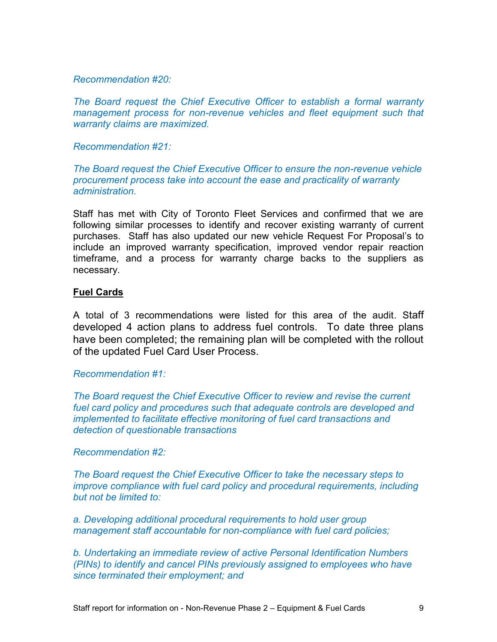*Recommendation #20:*

*The Board request the Chief Executive Officer to establish a formal warranty management process for non-revenue vehicles and fleet equipment such that warranty claims are maximized.*

*Recommendation #21:*

*The Board request the Chief Executive Officer to ensure the non-revenue vehicle procurement process take into account the ease and practicality of warranty administration.*

Staff has met with City of Toronto Fleet Services and confirmed that we are following similar processes to identify and recover existing warranty of current purchases. Staff has also updated our new vehicle Request For Proposal's to include an improved warranty specification, improved vendor repair reaction timeframe, and a process for warranty charge backs to the suppliers as necessary.

## **Fuel Cards**

A total of 3 recommendations were listed for this area of the audit. Staff developed 4 action plans to address fuel controls. To date three plans have been completed; the remaining plan will be completed with the rollout of the updated Fuel Card User Process.

## *Recommendation #1:*

*The Board request the Chief Executive Officer to review and revise the current fuel card policy and procedures such that adequate controls are developed and implemented to facilitate effective monitoring of fuel card transactions and detection of questionable transactions*

## *Recommendation #2:*

*The Board request the Chief Executive Officer to take the necessary steps to improve compliance with fuel card policy and procedural requirements, including but not be limited to:* 

*a. Developing additional procedural requirements to hold user group management staff accountable for non-compliance with fuel card policies;* 

*b. Undertaking an immediate review of active Personal Identification Numbers (PINs) to identify and cancel PINs previously assigned to employees who have since terminated their employment; and*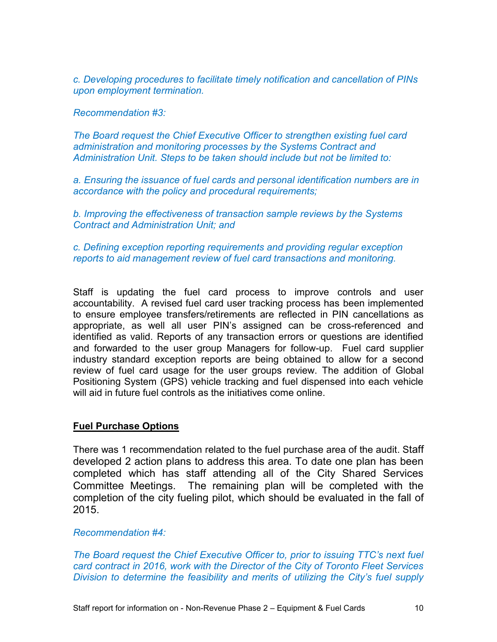*c. Developing procedures to facilitate timely notification and cancellation of PINs upon employment termination.* 

*Recommendation #3:*

*The Board request the Chief Executive Officer to strengthen existing fuel card administration and monitoring processes by the Systems Contract and Administration Unit. Steps to be taken should include but not be limited to:* 

*a. Ensuring the issuance of fuel cards and personal identification numbers are in accordance with the policy and procedural requirements;* 

*b. Improving the effectiveness of transaction sample reviews by the Systems Contract and Administration Unit; and*

*c. Defining exception reporting requirements and providing regular exception reports to aid management review of fuel card transactions and monitoring.*

Staff is updating the fuel card process to improve controls and user accountability. A revised fuel card user tracking process has been implemented to ensure employee transfers/retirements are reflected in PIN cancellations as appropriate, as well all user PIN's assigned can be cross-referenced and identified as valid. Reports of any transaction errors or questions are identified and forwarded to the user group Managers for follow-up. Fuel card supplier industry standard exception reports are being obtained to allow for a second review of fuel card usage for the user groups review. The addition of Global Positioning System (GPS) vehicle tracking and fuel dispensed into each vehicle will aid in future fuel controls as the initiatives come online.

### **Fuel Purchase Options**

There was 1 recommendation related to the fuel purchase area of the audit. Staff developed 2 action plans to address this area. To date one plan has been completed which has staff attending all of the City Shared Services Committee Meetings. The remaining plan will be completed with the completion of the city fueling pilot, which should be evaluated in the fall of 2015.

### *Recommendation #4:*

*The Board request the Chief Executive Officer to, prior to issuing TTC's next fuel card contract in 2016, work with the Director of the City of Toronto Fleet Services Division to determine the feasibility and merits of utilizing the City's fuel supply*